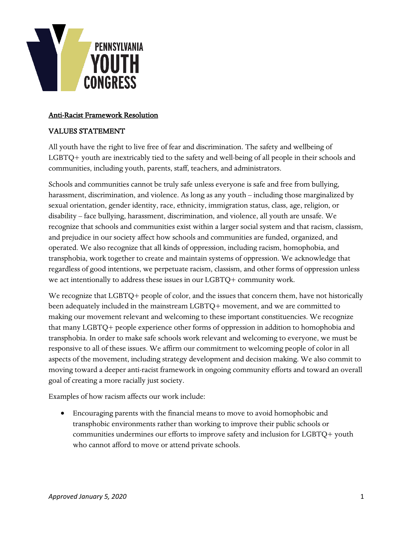

## Anti-Racist Framework Resolution

## VALUES STATEMENT

All youth have the right to live free of fear and discrimination. The safety and wellbeing of LGBTQ+ youth are inextricably tied to the safety and well-being of all people in their schools and communities, including youth, parents, staff, teachers, and administrators.

Schools and communities cannot be truly safe unless everyone is safe and free from bullying, harassment, discrimination, and violence. As long as any youth – including those marginalized by sexual orientation, gender identity, race, ethnicity, immigration status, class, age, religion, or disability – face bullying, harassment, discrimination, and violence, all youth are unsafe. We recognize that schools and communities exist within a larger social system and that racism, classism, and prejudice in our society affect how schools and communities are funded, organized, and operated. We also recognize that all kinds of oppression, including racism, homophobia, and transphobia, work together to create and maintain systems of oppression. We acknowledge that regardless of good intentions, we perpetuate racism, classism, and other forms of oppression unless we act intentionally to address these issues in our LGBTQ+ community work.

We recognize that LGBTQ+ people of color, and the issues that concern them, have not historically been adequately included in the mainstream LGBTQ+ movement, and we are committed to making our movement relevant and welcoming to these important constituencies. We recognize that many LGBTQ+ people experience other forms of oppression in addition to homophobia and transphobia. In order to make safe schools work relevant and welcoming to everyone, we must be responsive to all of these issues. We affirm our commitment to welcoming people of color in all aspects of the movement, including strategy development and decision making. We also commit to moving toward a deeper anti-racist framework in ongoing community efforts and toward an overall goal of creating a more racially just society.

Examples of how racism affects our work include:

• Encouraging parents with the financial means to move to avoid homophobic and transphobic environments rather than working to improve their public schools or communities undermines our efforts to improve safety and inclusion for LGBTQ+ youth who cannot afford to move or attend private schools.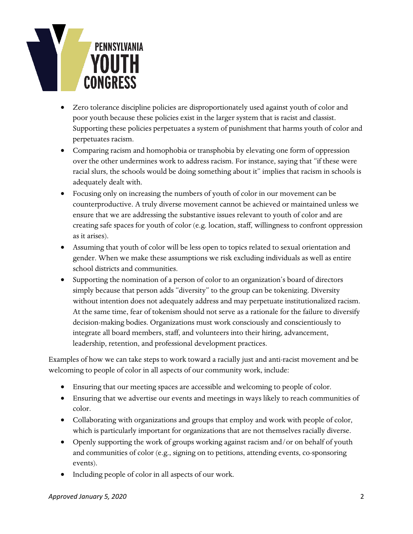

- Zero tolerance discipline policies are disproportionately used against youth of color and poor youth because these policies exist in the larger system that is racist and classist. Supporting these policies perpetuates a system of punishment that harms youth of color and perpetuates racism.
- Comparing racism and homophobia or transphobia by elevating one form of oppression over the other undermines work to address racism. For instance, saying that "if these were racial slurs, the schools would be doing something about it" implies that racism in schools is adequately dealt with.
- Focusing only on increasing the numbers of youth of color in our movement can be counterproductive. A truly diverse movement cannot be achieved or maintained unless we ensure that we are addressing the substantive issues relevant to youth of color and are creating safe spaces for youth of color (e.g. location, staff, willingness to confront oppression as it arises).
- Assuming that youth of color will be less open to topics related to sexual orientation and gender. When we make these assumptions we risk excluding individuals as well as entire school districts and communities.
- Supporting the nomination of a person of color to an organization's board of directors simply because that person adds "diversity" to the group can be tokenizing. Diversity without intention does not adequately address and may perpetuate institutionalized racism. At the same time, fear of tokenism should not serve as a rationale for the failure to diversify decision-making bodies. Organizations must work consciously and conscientiously to integrate all board members, staff, and volunteers into their hiring, advancement, leadership, retention, and professional development practices.

Examples of how we can take steps to work toward a racially just and anti-racist movement and be welcoming to people of color in all aspects of our community work, include:

- Ensuring that our meeting spaces are accessible and welcoming to people of color.
- Ensuring that we advertise our events and meetings in ways likely to reach communities of color.
- Collaborating with organizations and groups that employ and work with people of color, which is particularly important for organizations that are not themselves racially diverse.
- Openly supporting the work of groups working against racism and/or on behalf of youth and communities of color (e.g., signing on to petitions, attending events, co-sponsoring events).
- Including people of color in all aspects of our work.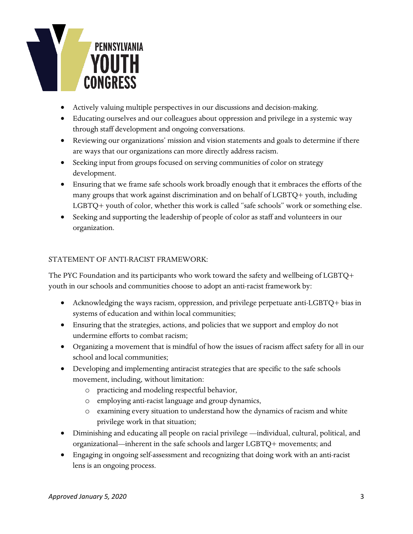

- Actively valuing multiple perspectives in our discussions and decision-making.
- Educating ourselves and our colleagues about oppression and privilege in a systemic way through staff development and ongoing conversations.
- Reviewing our organizations' mission and vision statements and goals to determine if there are ways that our organizations can more directly address racism.
- Seeking input from groups focused on serving communities of color on strategy development.
- Ensuring that we frame safe schools work broadly enough that it embraces the efforts of the many groups that work against discrimination and on behalf of LGBTQ+ youth, including LGBTQ+ youth of color, whether this work is called "safe schools" work or something else.
- Seeking and supporting the leadership of people of color as staff and volunteers in our organization.

## STATEMENT OF ANTI-RACIST FRAMEWORK:

The PYC Foundation and its participants who work toward the safety and wellbeing of LGBTQ+ youth in our schools and communities choose to adopt an anti-racist framework by:

- Acknowledging the ways racism, oppression, and privilege perpetuate anti-LGBTQ+ bias in systems of education and within local communities;
- Ensuring that the strategies, actions, and policies that we support and employ do not undermine efforts to combat racism;
- Organizing a movement that is mindful of how the issues of racism affect safety for all in our school and local communities;
- Developing and implementing antiracist strategies that are specific to the safe schools movement, including, without limitation:
	- o practicing and modeling respectful behavior,
	- o employing anti-racist language and group dynamics,
	- o examining every situation to understand how the dynamics of racism and white privilege work in that situation;
- Diminishing and educating all people on racial privilege —individual, cultural, political, and organizational—inherent in the safe schools and larger LGBTQ+ movements; and
- Engaging in ongoing self-assessment and recognizing that doing work with an anti-racist lens is an ongoing process.